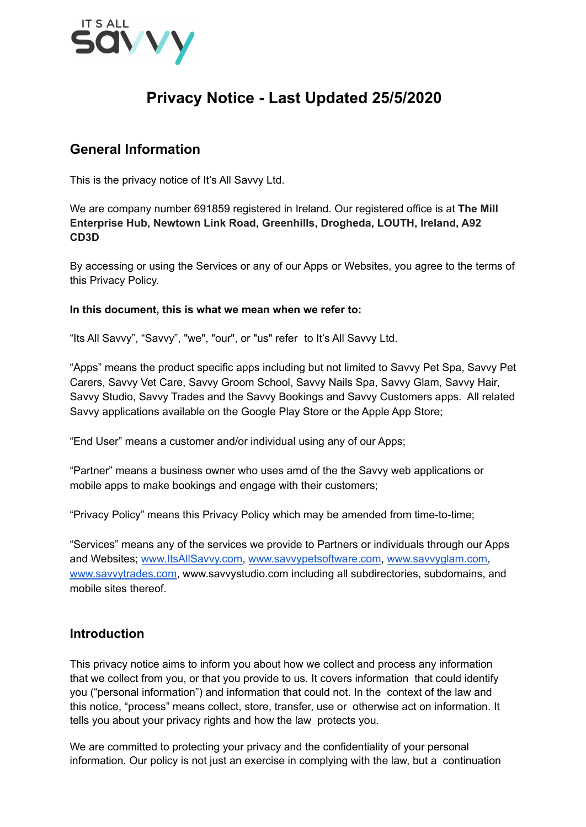

# **Privacy Notice - Last Updated 25/5/2020**

# **General Information**

This is the privacy notice of It's All Savvy Ltd.

We are company number 691859 registered in Ireland. Our registered office is at **The Mill Enterprise Hub, Newtown Link Road, Greenhills, Drogheda, LOUTH, Ireland, A92 CD3D**

By accessing or using the Services or any of our Apps or Websites, you agree to the terms of this Privacy Policy.

#### **In this document, this is what we mean when we refer to:**

"Its All Savvy", "Savvy", "we", "our", or "us" refer to It's All Savvy Ltd.

"Apps" means the product specific apps including but not limited to Savvy Pet Spa, Savvy Pet Carers, Savvy Vet Care, Savvy Groom School, Savvy Nails Spa, Savvy Glam, Savvy Hair, Savvy Studio, Savvy Trades and the Savvy Bookings and Savvy Customers apps. All related Savvy applications available on the Google Play Store or the Apple App Store;

"End User" means a customer and/or individual using any of our Apps;

"Partner" means a business owner who uses amd of the the Savvy web applications or mobile apps to make bookings and engage with their customers;

"Privacy Policy" means this Privacy Policy which may be amended from time-to-time;

"Services" means any of the services we provide to Partners or individuals through our Apps and Websites; [www.ItsAllSavvy.com,](http://www.itsallsavvy.com) [www.savvypetsoftware.com,](http://www.savvypetsoftware.com) [www.savvyglam.com,](http://www.savvyglamsoftware.com) [www.savvytrades.com,](http://www.savvytrades.com) www.savvystudio.com including all subdirectories, subdomains, and mobile sites thereof.

# **Introduction**

This privacy notice aims to inform you about how we collect and process any information that we collect from you, or that you provide to us. It covers information that could identify you ("personal information") and information that could not. In the context of the law and this notice, "process" means collect, store, transfer, use or otherwise act on information. It tells you about your privacy rights and how the law protects you.

We are committed to protecting your privacy and the confidentiality of your personal information. Our policy is not just an exercise in complying with the law, but a continuation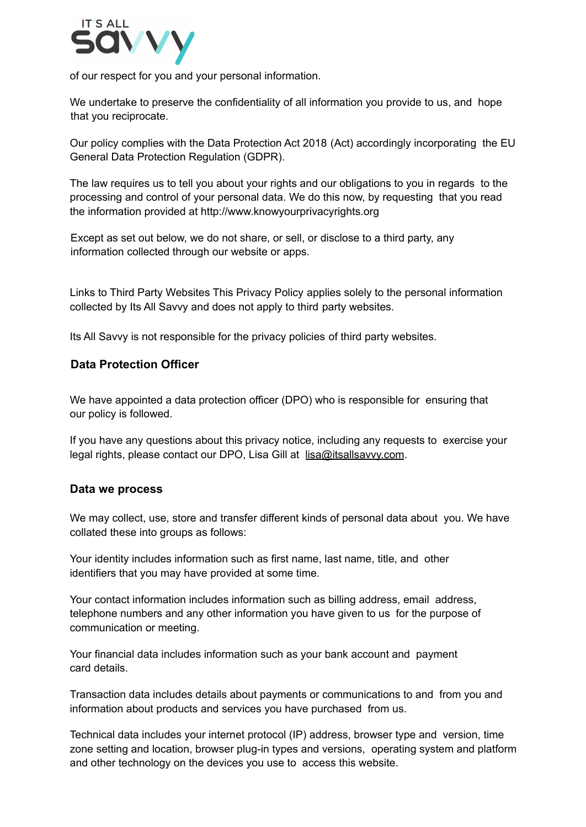

of our respect for you and your personal information.

We undertake to preserve the confidentiality of all information you provide to us, and hope that you reciprocate.

Our policy complies with the Data Protection Act 2018 (Act) accordingly incorporating the EU General Data Protection Regulation (GDPR).

The law requires us to tell you about your rights and our obligations to you in regards to the processing and control of your personal data. We do this now, by requesting that you read the information provided at http://www.knowyourprivacyrights.org

Except as set out below, we do not share, or sell, or disclose to a third party, any information collected through our website or apps.

Links to Third Party Websites This Privacy Policy applies solely to the personal information collected by Its All Savvy and does not apply to third party websites.

Its All Savvy is not responsible for the privacy policies of third party websites.

#### **Data Protection Officer**

We have appointed a data protection officer (DPO) who is responsible for ensuring that our policy is followed.

If you have any questions about this privacy notice, including any requests to exercise your legal rights, please contact our DPO, Lisa Gill at lisa@itsallsavvy.com.

#### **Data we process**

We may collect, use, store and transfer different kinds of personal data about you. We have collated these into groups as follows:

Your identity includes information such as first name, last name, title, and other identifiers that you may have provided at some time.

Your contact information includes information such as billing address, email address, telephone numbers and any other information you have given to us for the purpose of communication or meeting.

Your financial data includes information such as your bank account and payment card details.

Transaction data includes details about payments or communications to and from you and information about products and services you have purchased from us.

Technical data includes your internet protocol (IP) address, browser type and version, time zone setting and location, browser plug-in types and versions, operating system and platform and other technology on the devices you use to access this website.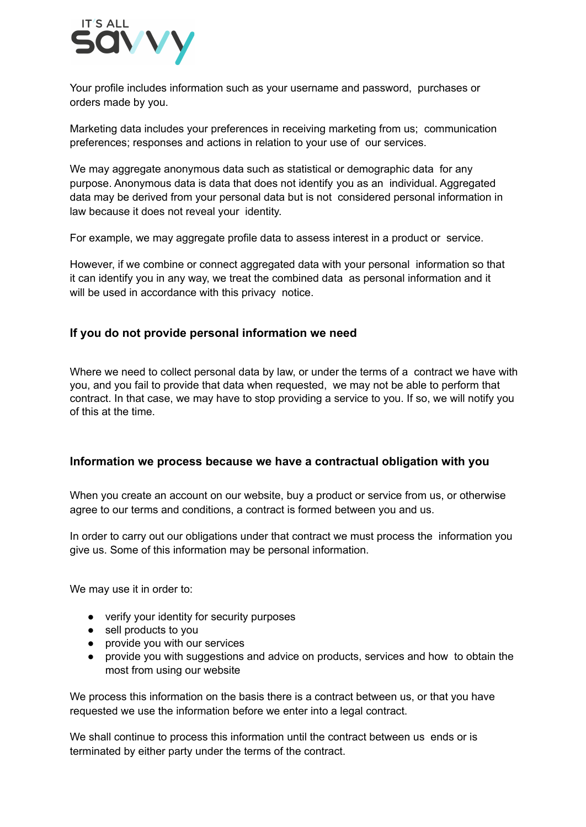

Your profile includes information such as your username and password, purchases or orders made by you.

Marketing data includes your preferences in receiving marketing from us; communication preferences; responses and actions in relation to your use of our services.

We may aggregate anonymous data such as statistical or demographic data for any purpose. Anonymous data is data that does not identify you as an individual. Aggregated data may be derived from your personal data but is not considered personal information in law because it does not reveal your identity.

For example, we may aggregate profile data to assess interest in a product or service.

However, if we combine or connect aggregated data with your personal information so that it can identify you in any way, we treat the combined data as personal information and it will be used in accordance with this privacy notice.

## **If you do not provide personal information we need**

Where we need to collect personal data by law, or under the terms of a contract we have with you, and you fail to provide that data when requested, we may not be able to perform that contract. In that case, we may have to stop providing a service to you. If so, we will notify you of this at the time.

#### **Information we process because we have a contractual obligation with you**

When you create an account on our website, buy a product or service from us, or otherwise agree to our terms and conditions, a contract is formed between you and us.

In order to carry out our obligations under that contract we must process the information you give us. Some of this information may be personal information.

We may use it in order to:

- verify your identity for security purposes
- sell products to you
- provide you with our services
- provide you with suggestions and advice on products, services and how to obtain the most from using our website

We process this information on the basis there is a contract between us, or that you have requested we use the information before we enter into a legal contract.

We shall continue to process this information until the contract between us ends or is terminated by either party under the terms of the contract.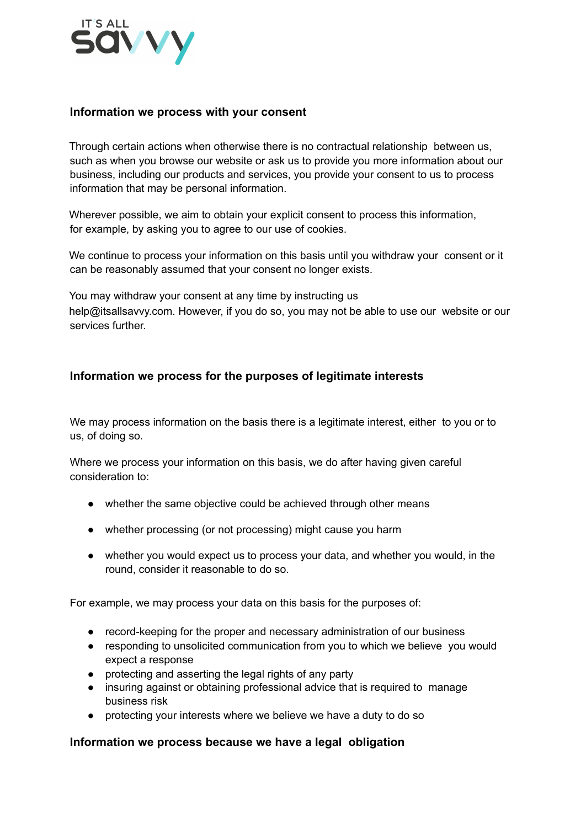

#### **Information we process with your consent**

Through certain actions when otherwise there is no contractual relationship between us, such as when you browse our website or ask us to provide you more information about our business, including our products and services, you provide your consent to us to process information that may be personal information.

Wherever possible, we aim to obtain your explicit consent to process this information, for example, by asking you to agree to our use of cookies.

We continue to process your information on this basis until you withdraw your consent or it can be reasonably assumed that your consent no longer exists.

You may withdraw your consent at any time by instructing us help@itsallsavvy.com. However, if you do so, you may not be able to use our website or our services further.

#### **Information we process for the purposes of legitimate interests**

We may process information on the basis there is a legitimate interest, either to you or to us, of doing so.

Where we process your information on this basis, we do after having given careful consideration to:

- whether the same objective could be achieved through other means
- whether processing (or not processing) might cause you harm
- whether you would expect us to process your data, and whether you would, in the round, consider it reasonable to do so.

For example, we may process your data on this basis for the purposes of:

- record-keeping for the proper and necessary administration of our business
- responding to unsolicited communication from you to which we believe you would expect a response
- protecting and asserting the legal rights of any party
- insuring against or obtaining professional advice that is required to manage business risk
- protecting your interests where we believe we have a duty to do so

#### **Information we process because we have a legal obligation**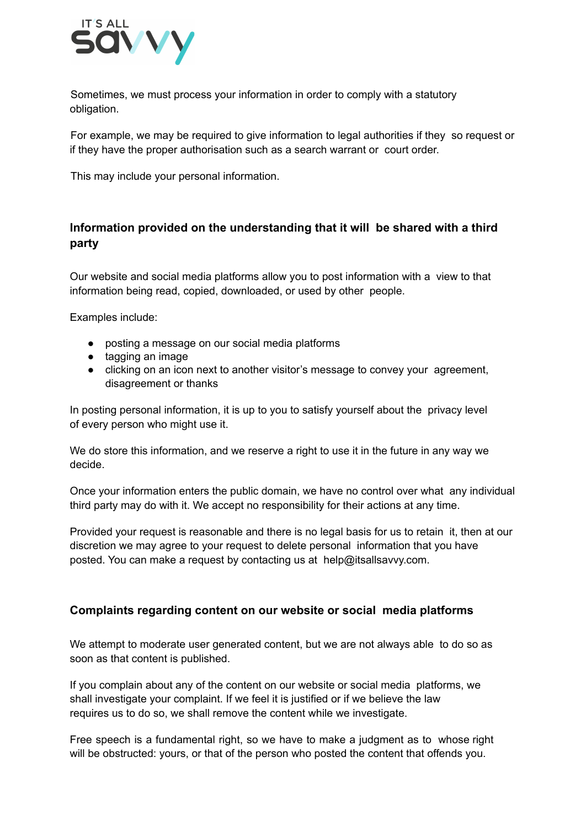

Sometimes, we must process your information in order to comply with a statutory obligation.

For example, we may be required to give information to legal authorities if they so request or if they have the proper authorisation such as a search warrant or court order.

This may include your personal information.

# **Information provided on the understanding that it will be shared with a third party**

Our website and social media platforms allow you to post information with a view to that information being read, copied, downloaded, or used by other people.

Examples include:

- posting a message on our social media platforms
- tagging an image
- clicking on an icon next to another visitor's message to convey your agreement, disagreement or thanks

In posting personal information, it is up to you to satisfy yourself about the privacy level of every person who might use it.

We do store this information, and we reserve a right to use it in the future in any way we decide.

Once your information enters the public domain, we have no control over what any individual third party may do with it. We accept no responsibility for their actions at any time.

Provided your request is reasonable and there is no legal basis for us to retain it, then at our discretion we may agree to your request to delete personal information that you have posted. You can make a request by contacting us at help@itsallsavvy.com.

# **Complaints regarding content on our website or social media platforms**

We attempt to moderate user generated content, but we are not always able to do so as soon as that content is published.

If you complain about any of the content on our website or social media platforms, we shall investigate your complaint. If we feel it is justified or if we believe the law requires us to do so, we shall remove the content while we investigate.

Free speech is a fundamental right, so we have to make a judgment as to whose right will be obstructed: yours, or that of the person who posted the content that offends you.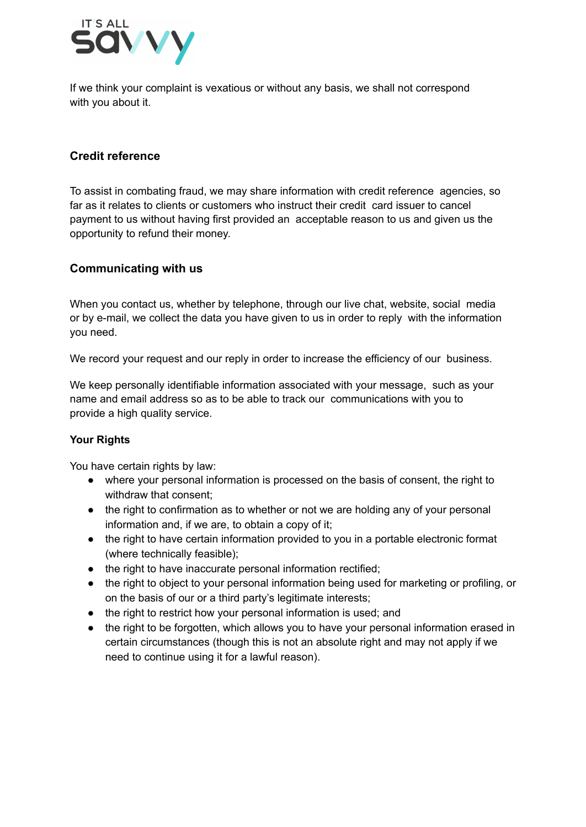

If we think your complaint is vexatious or without any basis, we shall not correspond with you about it.

# **Credit reference**

To assist in combating fraud, we may share information with credit reference agencies, so far as it relates to clients or customers who instruct their credit card issuer to cancel payment to us without having first provided an acceptable reason to us and given us the opportunity to refund their money.

## **Communicating with us**

When you contact us, whether by telephone, through our live chat, website, social media or by e-mail, we collect the data you have given to us in order to reply with the information you need.

We record your request and our reply in order to increase the efficiency of our business.

We keep personally identifiable information associated with your message, such as your name and email address so as to be able to track our communications with you to provide a high quality service.

## **Your Rights**

You have certain rights by law:

- where your personal information is processed on the basis of consent, the right to withdraw that consent;
- the right to confirmation as to whether or not we are holding any of your personal information and, if we are, to obtain a copy of it;
- the right to have certain information provided to you in a portable electronic format (where technically feasible);
- the right to have inaccurate personal information rectified;
- the right to object to your personal information being used for marketing or profiling, or on the basis of our or a third party's legitimate interests;
- the right to restrict how your personal information is used; and
- the right to be forgotten, which allows you to have your personal information erased in certain circumstances (though this is not an absolute right and may not apply if we need to continue using it for a lawful reason).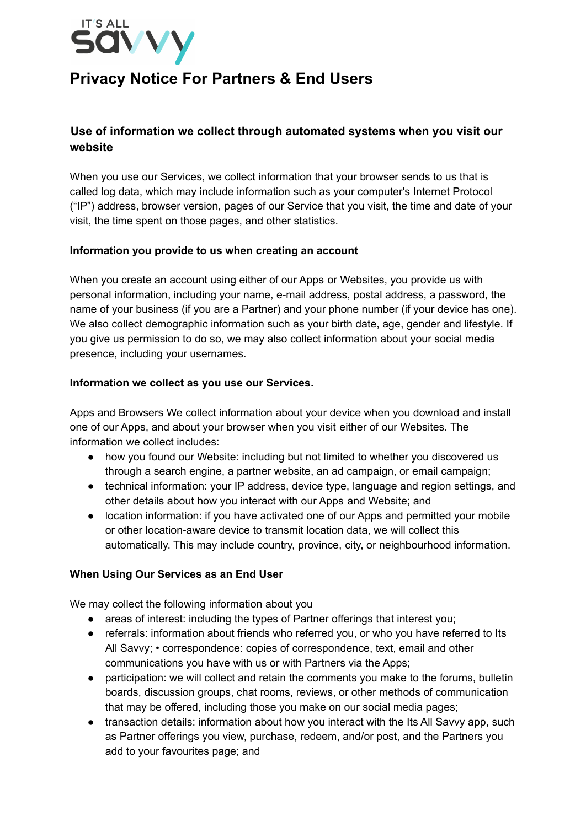

# **Privacy Notice For Partners & End Users**

# **Use of information we collect through automated systems when you visit our website**

When you use our Services, we collect information that your browser sends to us that is called log data, which may include information such as your computer's Internet Protocol ("IP") address, browser version, pages of our Service that you visit, the time and date of your visit, the time spent on those pages, and other statistics.

## **Information you provide to us when creating an account**

When you create an account using either of our Apps or Websites, you provide us with personal information, including your name, e-mail address, postal address, a password, the name of your business (if you are a Partner) and your phone number (if your device has one). We also collect demographic information such as your birth date, age, gender and lifestyle. If you give us permission to do so, we may also collect information about your social media presence, including your usernames.

#### **Information we collect as you use our Services.**

Apps and Browsers We collect information about your device when you download and install one of our Apps, and about your browser when you visit either of our Websites. The information we collect includes:

- how you found our Website: including but not limited to whether you discovered us through a search engine, a partner website, an ad campaign, or email campaign;
- technical information: your IP address, device type, language and region settings, and other details about how you interact with our Apps and Website; and
- location information: if you have activated one of our Apps and permitted your mobile or other location-aware device to transmit location data, we will collect this automatically. This may include country, province, city, or neighbourhood information.

## **When Using Our Services as an End User**

We may collect the following information about you

- areas of interest: including the types of Partner offerings that interest you;
- referrals: information about friends who referred you, or who you have referred to Its All Savvy; • correspondence: copies of correspondence, text, email and other communications you have with us or with Partners via the Apps:
- participation: we will collect and retain the comments you make to the forums, bulletin boards, discussion groups, chat rooms, reviews, or other methods of communication that may be offered, including those you make on our social media pages;
- transaction details: information about how you interact with the Its All Savvy app, such as Partner offerings you view, purchase, redeem, and/or post, and the Partners you add to your favourites page; and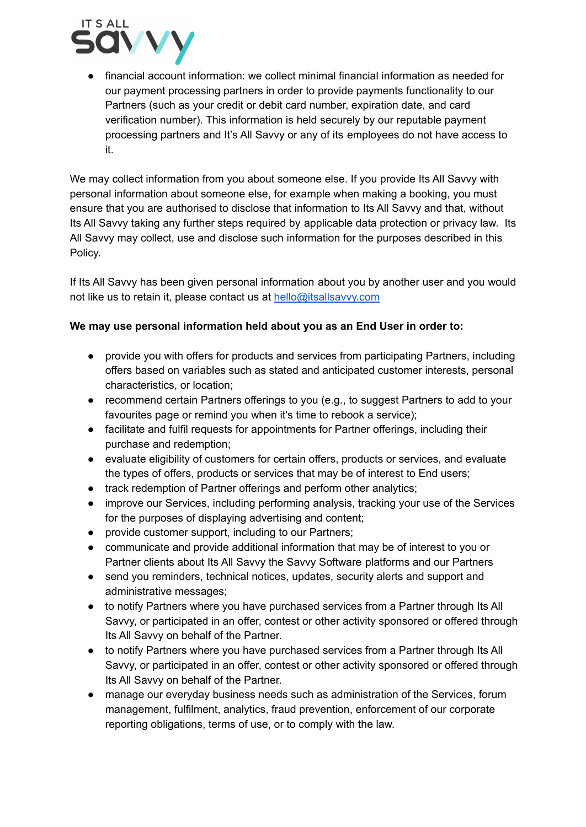

● financial account information: we collect minimal financial information as needed for our payment processing partners in order to provide payments functionality to our Partners (such as your credit or debit card number, expiration date, and card verification number). This information is held securely by our reputable payment processing partners and It's All Savvy or any of its employees do not have access to it.

We may collect information from you about someone else. If you provide Its All Savvy with personal information about someone else, for example when making a booking, you must ensure that you are authorised to disclose that information to Its All Savvy and that, without Its All Savvy taking any further steps required by applicable data protection or privacy law. Its All Savvy may collect, use and disclose such information for the purposes described in this Policy.

If Its All Savvy has been given personal information about you by another user and you would not like us to retain it, please contact us at [hello@itsallsavvy.com](mailto:hello@itsallsavvy.com)

## **We may use personal information held about you as an End User in order to:**

- provide you with offers for products and services from participating Partners, including offers based on variables such as stated and anticipated customer interests, personal characteristics, or location;
- recommend certain Partners offerings to you (e.g., to suggest Partners to add to your favourites page or remind you when it's time to rebook a service);
- facilitate and fulfil requests for appointments for Partner offerings, including their purchase and redemption;
- evaluate eligibility of customers for certain offers, products or services, and evaluate the types of offers, products or services that may be of interest to End users;
- track redemption of Partner offerings and perform other analytics;
- improve our Services, including performing analysis, tracking your use of the Services for the purposes of displaying advertising and content;
- provide customer support, including to our Partners;
- communicate and provide additional information that may be of interest to you or Partner clients about Its All Savvy the Savvy Software platforms and our Partners
- send you reminders, technical notices, updates, security alerts and support and administrative messages;
- to notify Partners where you have purchased services from a Partner through Its All Savvy, or participated in an offer, contest or other activity sponsored or offered through Its All Savvy on behalf of the Partner.
- to notify Partners where you have purchased services from a Partner through Its All Savvy, or participated in an offer, contest or other activity sponsored or offered through Its All Savvy on behalf of the Partner.
- manage our everyday business needs such as administration of the Services, forum management, fulfilment, analytics, fraud prevention, enforcement of our corporate reporting obligations, terms of use, or to comply with the law.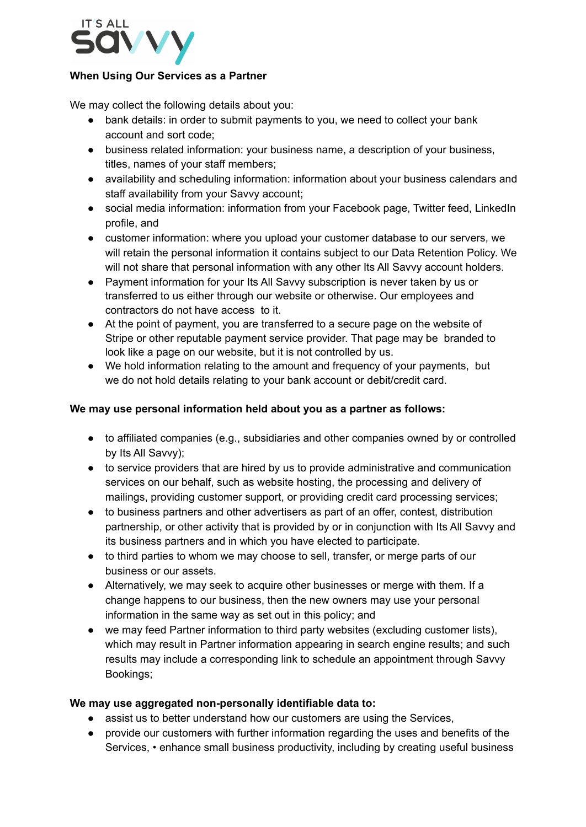

#### **When Using Our Services as a Partner**

We may collect the following details about you:

- bank details: in order to submit payments to you, we need to collect your bank account and sort code;
- business related information: your business name, a description of your business, titles, names of your staff members;
- availability and scheduling information: information about your business calendars and staff availability from your Savvy account;
- social media information: information from your Facebook page, Twitter feed, LinkedIn profile, and
- customer information: where you upload your customer database to our servers, we will retain the personal information it contains subject to our Data Retention Policy. We will not share that personal information with any other Its All Savvy account holders.
- Payment information for your Its All Savvy subscription is never taken by us or transferred to us either through our website or otherwise. Our employees and contractors do not have access to it.
- At the point of payment, you are transferred to a secure page on the website of Stripe or other reputable payment service provider. That page may be branded to look like a page on our website, but it is not controlled by us.
- We hold information relating to the amount and frequency of your payments, but we do not hold details relating to your bank account or debit/credit card.

## **We may use personal information held about you as a partner as follows:**

- to affiliated companies (e.g., subsidiaries and other companies owned by or controlled by Its All Savvy);
- to service providers that are hired by us to provide administrative and communication services on our behalf, such as website hosting, the processing and delivery of mailings, providing customer support, or providing credit card processing services;
- to business partners and other advertisers as part of an offer, contest, distribution partnership, or other activity that is provided by or in conjunction with Its All Savvy and its business partners and in which you have elected to participate.
- to third parties to whom we may choose to sell, transfer, or merge parts of our business or our assets.
- Alternatively, we may seek to acquire other businesses or merge with them. If a change happens to our business, then the new owners may use your personal information in the same way as set out in this policy; and
- we may feed Partner information to third party websites (excluding customer lists), which may result in Partner information appearing in search engine results; and such results may include a corresponding link to schedule an appointment through Savvy Bookings;

#### **We may use aggregated non-personally identifiable data to:**

- assist us to better understand how our customers are using the Services,
- provide our customers with further information regarding the uses and benefits of the Services, • enhance small business productivity, including by creating useful business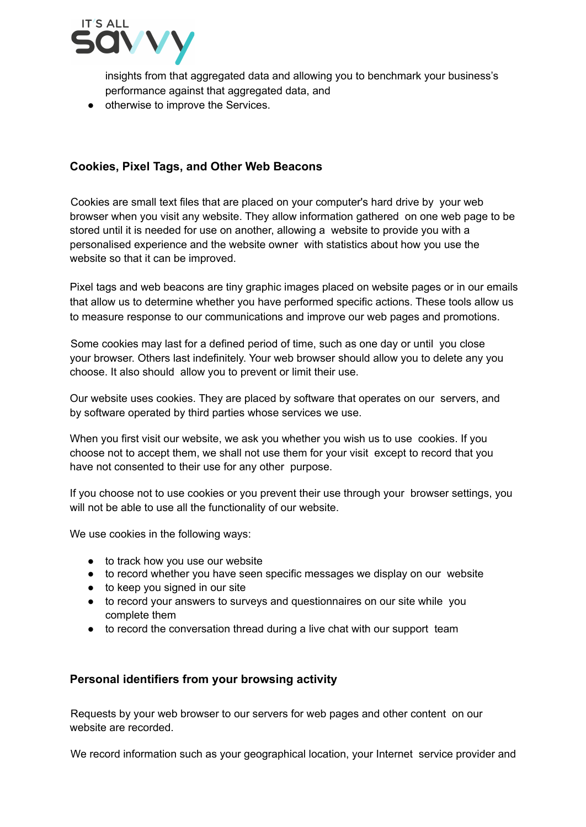

insights from that aggregated data and allowing you to benchmark your business's performance against that aggregated data, and

● otherwise to improve the Services.

# **Cookies, Pixel Tags, and Other Web Beacons**

Cookies are small text files that are placed on your computer's hard drive by your web browser when you visit any website. They allow information gathered on one web page to be stored until it is needed for use on another, allowing a website to provide you with a personalised experience and the website owner with statistics about how you use the website so that it can be improved.

Pixel tags and web beacons are tiny graphic images placed on website pages or in our emails that allow us to determine whether you have performed specific actions. These tools allow us to measure response to our communications and improve our web pages and promotions.

Some cookies may last for a defined period of time, such as one day or until you close your browser. Others last indefinitely. Your web browser should allow you to delete any you choose. It also should allow you to prevent or limit their use.

Our website uses cookies. They are placed by software that operates on our servers, and by software operated by third parties whose services we use.

When you first visit our website, we ask you whether you wish us to use cookies. If you choose not to accept them, we shall not use them for your visit except to record that you have not consented to their use for any other purpose.

If you choose not to use cookies or you prevent their use through your browser settings, you will not be able to use all the functionality of our website.

We use cookies in the following ways:

- to track how you use our website
- to record whether you have seen specific messages we display on our website
- to keep you signed in our site
- to record your answers to surveys and questionnaires on our site while you complete them
- to record the conversation thread during a live chat with our support team

## **Personal identifiers from your browsing activity**

Requests by your web browser to our servers for web pages and other content on our website are recorded.

We record information such as your geographical location, your Internet service provider and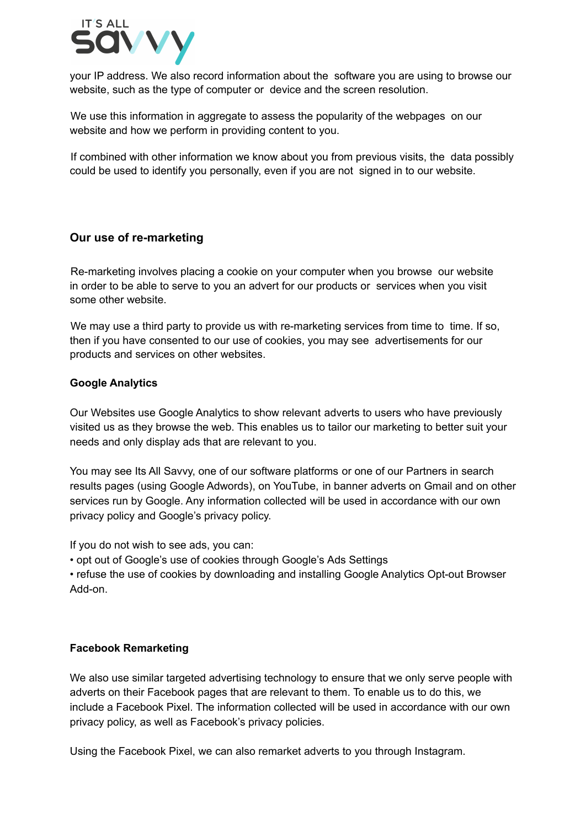

your IP address. We also record information about the software you are using to browse our website, such as the type of computer or device and the screen resolution.

We use this information in aggregate to assess the popularity of the webpages on our website and how we perform in providing content to you.

If combined with other information we know about you from previous visits, the data possibly could be used to identify you personally, even if you are not signed in to our website.

## **Our use of re-marketing**

Re-marketing involves placing a cookie on your computer when you browse our website in order to be able to serve to you an advert for our products or services when you visit some other website.

We may use a third party to provide us with re-marketing services from time to time. If so, then if you have consented to our use of cookies, you may see advertisements for our products and services on other websites.

#### **Google Analytics**

Our Websites use Google Analytics to show relevant adverts to users who have previously visited us as they browse the web. This enables us to tailor our marketing to better suit your needs and only display ads that are relevant to you.

You may see Its All Savvy, one of our software platforms or one of our Partners in search results pages (using Google Adwords), on YouTube, in banner adverts on Gmail and on other services run by Google. Any information collected will be used in accordance with our own privacy policy and Google's privacy policy.

If you do not wish to see ads, you can:

• opt out of Google's use of cookies through Google's Ads Settings

• refuse the use of cookies by downloading and installing Google Analytics Opt-out Browser Add-on.

#### **Facebook Remarketing**

We also use similar targeted advertising technology to ensure that we only serve people with adverts on their Facebook pages that are relevant to them. To enable us to do this, we include a Facebook Pixel. The information collected will be used in accordance with our own privacy policy, as well as Facebook's privacy policies.

Using the Facebook Pixel, we can also remarket adverts to you through Instagram.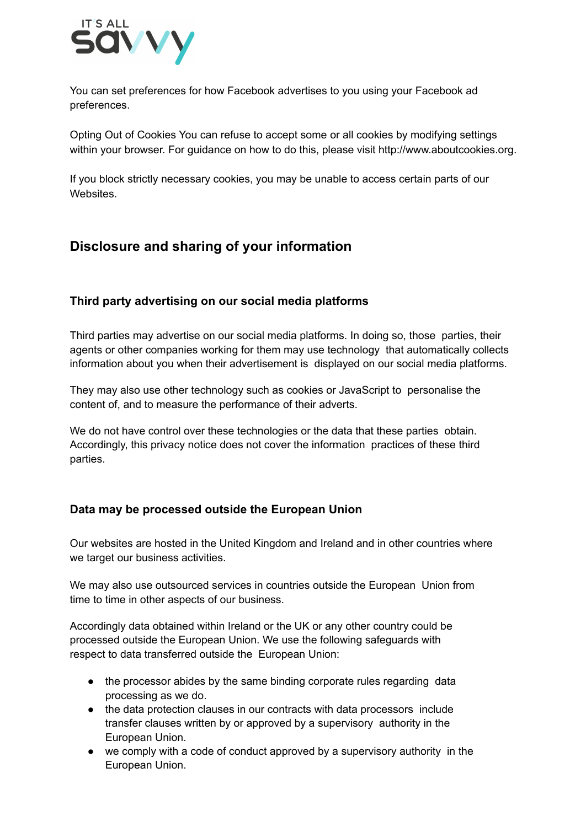

You can set preferences for how Facebook advertises to you using your Facebook ad preferences.

Opting Out of Cookies You can refuse to accept some or all cookies by modifying settings within your browser. For guidance on how to do this, please visit http://www.aboutcookies.org.

If you block strictly necessary cookies, you may be unable to access certain parts of our Websites.

# **Disclosure and sharing of your information**

# **Third party advertising on our social media platforms**

Third parties may advertise on our social media platforms. In doing so, those parties, their agents or other companies working for them may use technology that automatically collects information about you when their advertisement is displayed on our social media platforms.

They may also use other technology such as cookies or JavaScript to personalise the content of, and to measure the performance of their adverts.

We do not have control over these technologies or the data that these parties obtain. Accordingly, this privacy notice does not cover the information practices of these third parties.

## **Data may be processed outside the European Union**

Our websites are hosted in the United Kingdom and Ireland and in other countries where we target our business activities.

We may also use outsourced services in countries outside the European Union from time to time in other aspects of our business.

Accordingly data obtained within Ireland or the UK or any other country could be processed outside the European Union. We use the following safeguards with respect to data transferred outside the European Union:

- the processor abides by the same binding corporate rules regarding data processing as we do.
- the data protection clauses in our contracts with data processors include transfer clauses written by or approved by a supervisory authority in the European Union.
- we comply with a code of conduct approved by a supervisory authority in the European Union.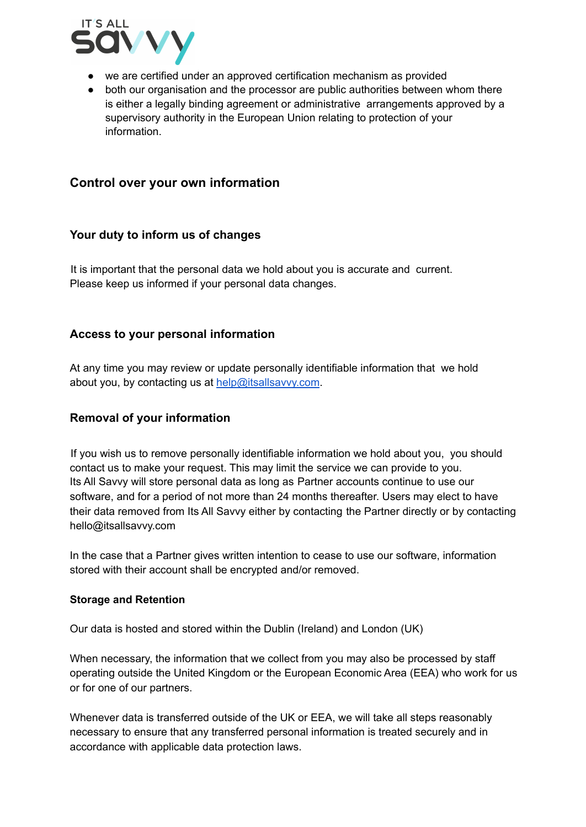

- we are certified under an approved certification mechanism as provided
- both our organisation and the processor are public authorities between whom there is either a legally binding agreement or administrative arrangements approved by a supervisory authority in the European Union relating to protection of your information.

# **Control over your own information**

#### **Your duty to inform us of changes**

It is important that the personal data we hold about you is accurate and current. Please keep us informed if your personal data changes.

## **Access to your personal information**

At any time you may review or update personally identifiable information that we hold about you, by contacting us at [help@itsallsavvy.com](mailto:help@itsallsavvy.com).

## **Removal of your information**

If you wish us to remove personally identifiable information we hold about you, you should contact us to make your request. This may limit the service we can provide to you. Its All Savvy will store personal data as long as Partner accounts continue to use our software, and for a period of not more than 24 months thereafter. Users may elect to have their data removed from Its All Savvy either by contacting the Partner directly or by contacting hello@itsallsavvy.com

In the case that a Partner gives written intention to cease to use our software, information stored with their account shall be encrypted and/or removed.

#### **Storage and Retention**

Our data is hosted and stored within the Dublin (Ireland) and London (UK)

When necessary, the information that we collect from you may also be processed by staff operating outside the United Kingdom or the European Economic Area (EEA) who work for us or for one of our partners.

Whenever data is transferred outside of the UK or EEA, we will take all steps reasonably necessary to ensure that any transferred personal information is treated securely and in accordance with applicable data protection laws.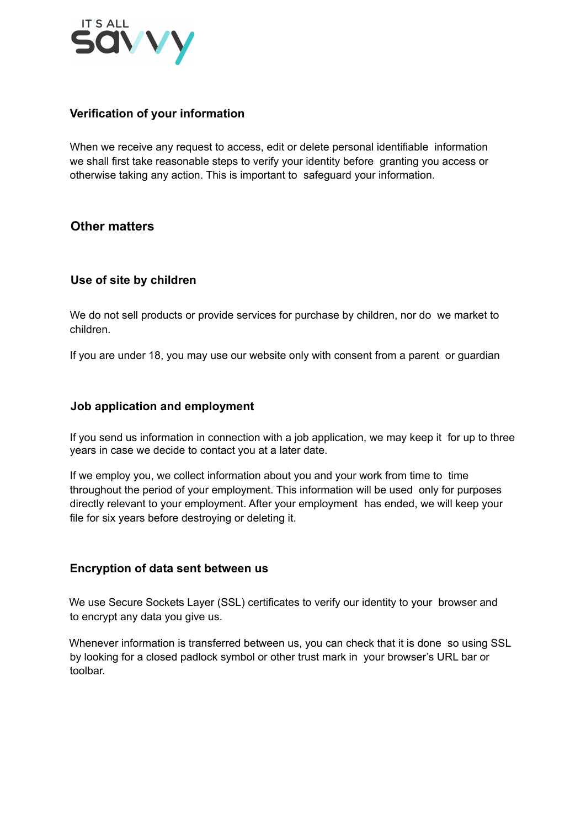

# **Verification of your information**

When we receive any request to access, edit or delete personal identifiable information we shall first take reasonable steps to verify your identity before granting you access or otherwise taking any action. This is important to safeguard your information.

# **Other matters**

# **Use of site by children**

We do not sell products or provide services for purchase by children, nor do we market to children.

If you are under 18, you may use our website only with consent from a parent or guardian

#### **Job application and employment**

If you send us information in connection with a job application, we may keep it for up to three years in case we decide to contact you at a later date.

If we employ you, we collect information about you and your work from time to time throughout the period of your employment. This information will be used only for purposes directly relevant to your employment. After your employment has ended, we will keep your file for six years before destroying or deleting it.

## **Encryption of data sent between us**

We use Secure Sockets Layer (SSL) certificates to verify our identity to your browser and to encrypt any data you give us.

Whenever information is transferred between us, you can check that it is done so using SSL by looking for a closed padlock symbol or other trust mark in your browser's URL bar or toolbar.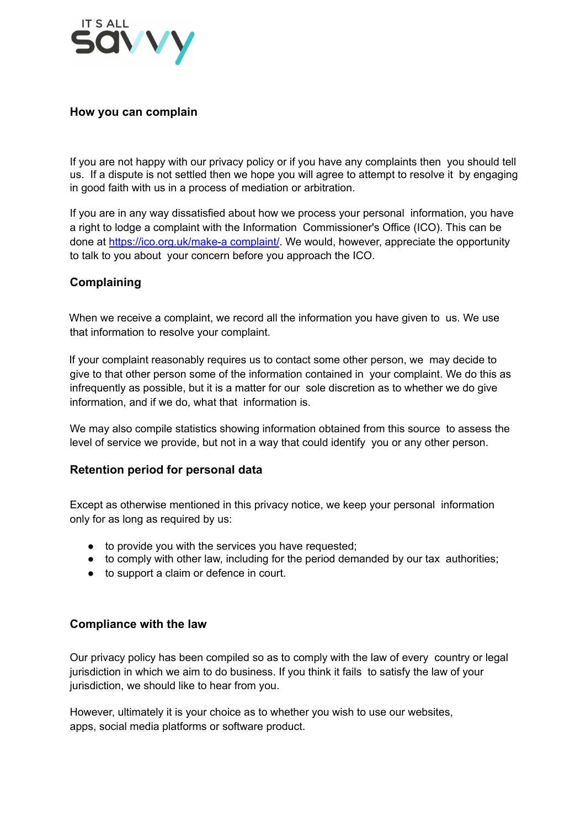

## **How you can complain**

If you are not happy with our privacy policy or if you have any complaints then you should tell us. If a dispute is not settled then we hope you will agree to attempt to resolve it by engaging in good faith with us in a process of mediation or arbitration.

If you are in any way dissatisfied about how we process your personal information, you have a right to lodge a complaint with the Information Commissioner's Office (ICO). This can be done at https://ico.org.uk/make-a complaint/. We would, however, appreciate the opportunity to talk to you about your concern before you approach the ICO.

## **Complaining**

When we receive a complaint, we record all the information you have given to us. We use that information to resolve your complaint.

If your complaint reasonably requires us to contact some other person, we may decide to give to that other person some of the information contained in your complaint. We do this as infrequently as possible, but it is a matter for our sole discretion as to whether we do give information, and if we do, what that information is.

We may also compile statistics showing information obtained from this source to assess the level of service we provide, but not in a way that could identify you or any other person.

#### **Retention period for personal data**

Except as otherwise mentioned in this privacy notice, we keep your personal information only for as long as required by us:

- to provide you with the services you have requested;
- to comply with other law, including for the period demanded by our tax authorities;
- to support a claim or defence in court.

#### **Compliance with the law**

Our privacy policy has been compiled so as to comply with the law of every country or legal jurisdiction in which we aim to do business. If you think it fails to satisfy the law of your jurisdiction, we should like to hear from you.

However, ultimately it is your choice as to whether you wish to use our websites, apps, social media platforms or software product.